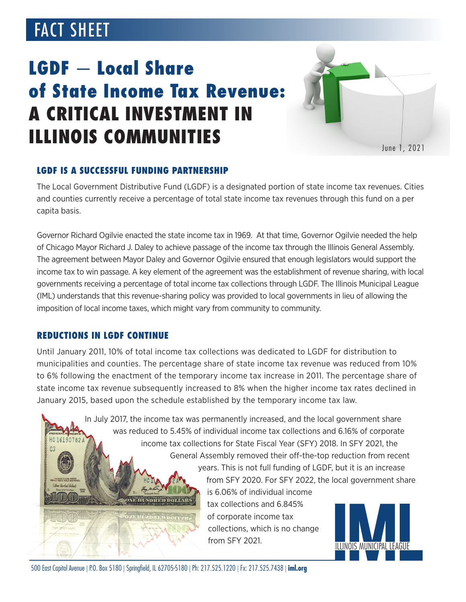# FACT SHEET

# LGDF — Local Share of State Income Tax Revenue: A CRITICAL INVESTMENT IN ILLINOIS COMMUNITIES



## LGDF IS A SUCCESSFUL FUNDING PARTNERSHIP

The Local Government Distributive Fund (LGDF) is a designated portion of state income tax revenues. Cities and counties currently receive a percentage of total state income tax revenues through this fund on a per capita basis.

Governor Richard Ogilvie enacted the state income tax in 1969. At that time, Governor Ogilvie needed the help of Chicago Mayor Richard J. Daley to achieve passage of the income tax through the Illinois General Assembly. The agreement between Mayor Daley and Governor Ogilvie ensured that enough legislators would support the income tax to win passage. A key element of the agreement was the establishment of revenue sharing, with local governments receiving a percentage of total income tax collections through LGDF. The Illinois Municipal League (IML) understands that this revenue-sharing policy was provided to local governments in lieu of allowing the imposition of local income taxes, which might vary from community to community.

#### REDUCTIONS IN LGDF CONTINUE

Until January 2011, 10% of total income tax collections was dedicated to LGDF for distribution to municipalities and counties. The percentage share of state income tax revenue was reduced from 10% to 6% following the enactment of the temporary income tax increase in 2011. The percentage share of state income tax revenue subsequently increased to 8% when the higher income tax rates declined in January 2015, based upon the schedule established by the temporary income tax law.

> In July 2017, the income tax was permanently increased, and the local government share was reduced to 5.45% of individual income tax collections and 6.16% of corporate income tax collections for State Fiscal Year (SFY) 2018. In SFY 2021, the General Assembly removed their off-the-top reduction from recent

> > years. This is not full funding of LGDF, but it is an increase from SFY 2020. For SFY 2022, the local government share is 6.06% of individual income

tax collections and 6.845% of corporate income tax collections, which is no change from SFY 2021.



 $\mathbf{H}$  and  $\mathbf{H}$  and  $\mathbf{H}$